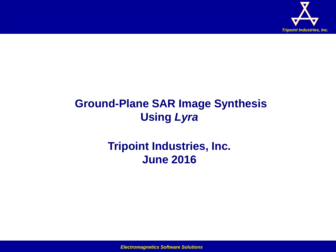

# **Ground-Plane SAR Image Synthesis Using** *Lyra*

## **Tripoint Industries, Inc. June 2016**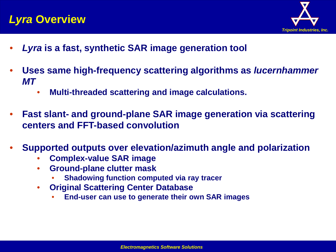### *Lyra* **Overview**



- *Lyra* **is a fast, synthetic SAR image generation tool**
- **Uses same high-frequency scattering algorithms as** *lucernhammer MT*
	- **Multi-threaded scattering and image calculations.**
- **Fast slant- and ground-plane SAR image generation via scattering centers and FFT-based convolution**
- **Supported outputs over elevation/azimuth angle and polarization**
	- **Complex-value SAR image**
	- **Ground-plane clutter mask**
		- **Shadowing function computed via ray tracer**
	- **Original Scattering Center Database**
		- **End-user can use to generate their own SAR images**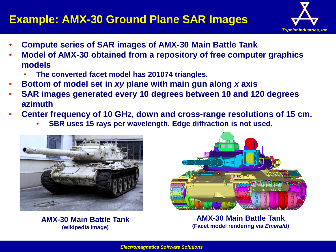### **Example: AMX-30 Ground Plane SAR Images**



- **Compute series of SAR images of AMX-30 Main Battle Tank**
- **Model of AMX-30 obtained from a repository of free computer graphics models**
	- **The converted facet model has 201074 triangles***.*
- **Bottom of model set in** *xy* **plane with main gun along** *x* **axis**
- **SAR images generated every 10 degrees between 10 and 120 degrees azimuth**
- **Center frequency of 10 GHz, down and cross-range resolutions of 15 cm.**
	- **SBR uses 15 rays per wavelength. Edge diffraction is not used.**



**AMX-30 Main Battle Tank (wikipedia image)**



**AMX-30 Main Battle Tank (Facet model rendering via** *Emerald***)**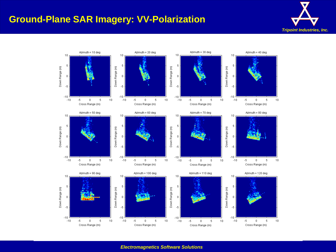#### **Ground-Plane SAR Imagery: VV-Polarization**



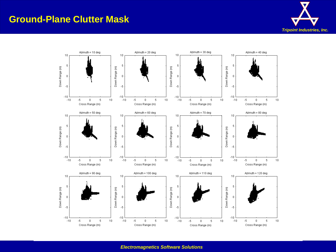#### **Ground-Plane Clutter Mask**



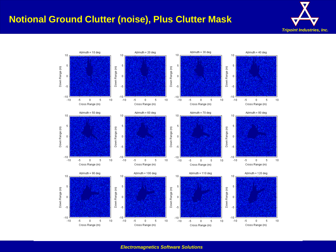#### **Notional Ground Clutter (noise), Plus Clutter Mask**